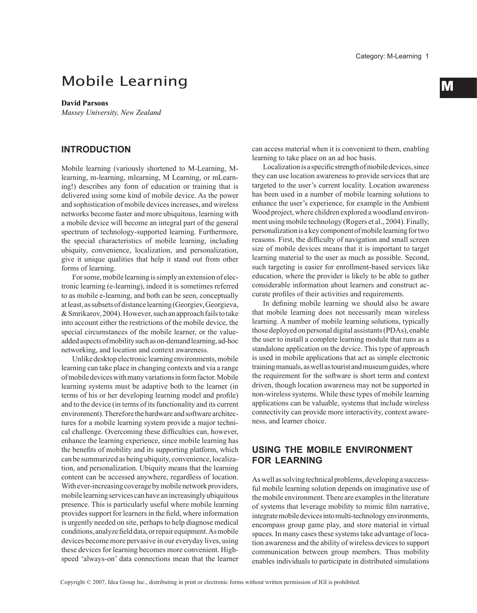# Mobile Learning Mobile 2014

#### **David Parsons**

*Massey University, New Zealand*

#### **INTRODUCTION**

Mobile learning (variously shortened to M-Learning, Mlearning, m-learning, mlearning, M Learning, or mLearning!) describes any form of education or training that is delivered using some kind of mobile device. As the power and sophistication of mobile devices increases, and wireless networks become faster and more ubiquitous, learning with a mobile device will become an integral part of the general spectrum of technology-supported learning. Furthermore, the special characteristics of mobile learning, including ubiquity, convenience, localization, and personalization, give it unique qualities that help it stand out from other forms of learning.

For some, mobile learning is simply an extension of electronic learning (e-learning), indeed it is sometimes referred to as mobile e-learning, and both can be seen, conceptually at least, as subsets of distance learning (Georgiev, Georgieva, & Smrikarov, 2004). However, such an approach fails to take into account either the restrictions of the mobile device, the special circumstances of the mobile learner, or the valueadded aspects of mobility such as on-demand learning, ad-hoc networking, and location and context awareness.

Unlike desktop electronic learning environments, mobile learning can take place in changing contexts and via a range of mobile devices with many variations in form factor. Mobile learning systems must be adaptive both to the learner (in terms of his or her developing learning model and profile) and to the device (in terms of its functionality and its current environment). Therefore the hardware and software architectures for a mobile learning system provide a major technical challenge. Overcoming these difficulties can, however, enhance the learning experience, since mobile learning has the benefits of mobility and its supporting platform, which can be summarized as being ubiquity, convenience, localization, and personalization. Ubiquity means that the learning content can be accessed anywhere, regardless of location. With ever-increasing coverage by mobile network providers, mobile learning services can have an increasingly ubiquitous presence. This is particularly useful where mobile learning provides support for learners in the field, where information is urgently needed on site, perhaps to help diagnose medical conditions, analyze field data, or repair equipment. As mobile devices become more pervasive in our everyday lives, using these devices for learning becomes more convenient. Highspeed 'always-on' data connections mean that the learner

can access material when it is convenient to them, enabling learning to take place on an ad hoc basis.

Localization is a specific strength of mobile devices, since they can use location awareness to provide services that are targeted to the user's current locality. Location awareness has been used in a number of mobile learning solutions to enhance the user's experience, for example in the Ambient Wood project, where children explored a woodland environment using mobile technology (Rogers et al., 2004). Finally, personalization is a key component of mobile learning for two reasons. First, the difficulty of navigation and small screen size of mobile devices means that it is important to target learning material to the user as much as possible. Second, such targeting is easier for enrollment-based services like education, where the provider is likely to be able to gather considerable information about learners and construct accurate profiles of their activities and requirements.

In defining mobile learning we should also be aware that mobile learning does not necessarily mean wireless learning. A number of mobile learning solutions, typically those deployed on personal digital assistants (PDAs), enable the user to install a complete learning module that runs as a standalone application on the device. This type of approach is used in mobile applications that act as simple electronic training manuals, as well as tourist and museum guides, where the requirement for the software is short term and context driven, though location awareness may not be supported in non-wireless systems. While these types of mobile learning applications can be valuable, systems that include wireless connectivity can provide more interactivity, context awareness, and learner choice.

### **Using the Mobile Environment for Learning**

As well as solving technical problems, developing a successful mobile learning solution depends on imaginative use of the mobile environment. There are examples in the literature of systems that leverage mobility to mimic film narrative, integrate mobile devices into multi-technology environments, encompass group game play, and store material in virtual spaces. In many cases these systems take advantage of location awareness and the ability of wireless devices to support communication between group members. Thus mobility enables individuals to participate in distributed simulations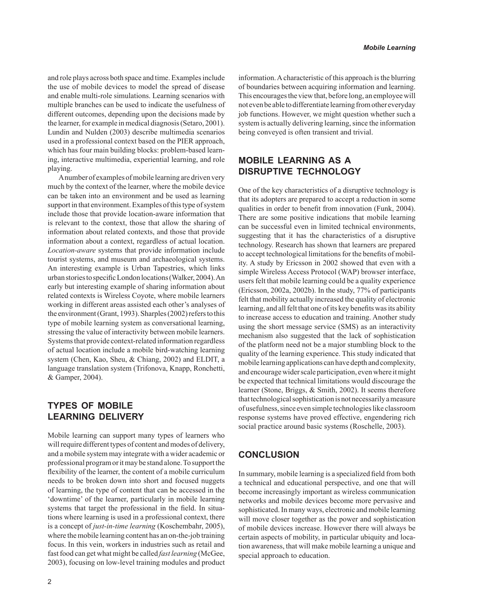and role plays across both space and time. Examples include the use of mobile devices to model the spread of disease and enable multi-role simulations. Learning scenarios with multiple branches can be used to indicate the usefulness of different outcomes, depending upon the decisions made by the learner, for example in medical diagnosis (Setaro, 2001). Lundin and Nulden (2003) describe multimedia scenarios used in a professional context based on the PIER approach, which has four main building blocks: problem-based learning, interactive multimedia, experiential learning, and role playing.

A number of examples of mobile learning are driven very much by the context of the learner, where the mobile device can be taken into an environment and be used as learning support in that environment. Examples of this type of system include those that provide location-aware information that is relevant to the context, those that allow the sharing of information about related contexts, and those that provide information about a context, regardless of actual location. *Location-aware* systems that provide information include tourist systems, and museum and archaeological systems. An interesting example is Urban Tapestries, which links urban stories to specific London locations (Walker, 2004). An early but interesting example of sharing information about related contexts is Wireless Coyote, where mobile learners working in different areas assisted each other's analyses of the environment (Grant, 1993). Sharples (2002) refers to this type of mobile learning system as conversational learning, stressing the value of interactivity between mobile learners. Systems that provide context-related information regardless of actual location include a mobile bird-watching learning system (Chen, Kao, Sheu, & Chiang, 2002) and ELDIT, a language translation system (Trifonova, Knapp, Ronchetti, & Gamper, 2004).

# **Types of Mobile Learning Delivery**

Mobile learning can support many types of learners who will require different types of content and modes of delivery, and a mobile system may integrate with a wider academic or professional program or it may be stand alone. To support the flexibility of the learner, the content of a mobile curriculum needs to be broken down into short and focused nuggets of learning, the type of content that can be accessed in the 'downtime' of the learner, particularly in mobile learning systems that target the professional in the field. In situations where learning is used in a professional context, there is a concept of *just-in-time learning* (Koschembahr, 2005), where the mobile learning content has an on-the-job training focus. In this vein, workers in industries such as retail and fast food can get what might be called *fast learning* (McGee, 2003), focusing on low-level training modules and product

information. A characteristic of this approach is the blurring of boundaries between acquiring information and learning. This encourages the view that, before long, an employee will not even be able to differentiate learning from other everyday job functions. However, we might question whether such a system is actually delivering learning, since the information being conveyed is often transient and trivial.

## **Mobile Learning as a Disruptive Technology**

One of the key characteristics of a disruptive technology is that its adopters are prepared to accept a reduction in some qualities in order to benefit from innovation (Funk, 2004). There are some positive indications that mobile learning can be successful even in limited technical environments, suggesting that it has the characteristics of a disruptive technology. Research has shown that learners are prepared to accept technological limitations for the benefits of mobility. A study by Ericsson in 2002 showed that even with a simple Wireless Access Protocol (WAP) browser interface, users felt that mobile learning could be a quality experience (Ericsson, 2002a, 2002b). In the study, 77% of participants felt that mobility actually increased the quality of electronic learning, and all felt that one of its key benefits was its ability to increase access to education and training. Another study using the short message service (SMS) as an interactivity mechanism also suggested that the lack of sophistication of the platform need not be a major stumbling block to the quality of the learning experience. This study indicated that mobile learning applications can have depth and complexity, and encourage wider scale participation, even where it might be expected that technical limitations would discourage the learner (Stone, Briggs, & Smith, 2002). It seems therefore that technological sophistication is not necessarily a measure of usefulness, since even simple technologies like classroom response systems have proved effective, engendering rich social practice around basic systems (Roschelle, 2003).

#### **Conclusion**

In summary, mobile learning is a specialized field from both a technical and educational perspective, and one that will become increasingly important as wireless communication networks and mobile devices become more pervasive and sophisticated. In many ways, electronic and mobile learning will move closer together as the power and sophistication of mobile devices increase. However there will always be certain aspects of mobility, in particular ubiquity and location awareness, that will make mobile learning a unique and special approach to education.